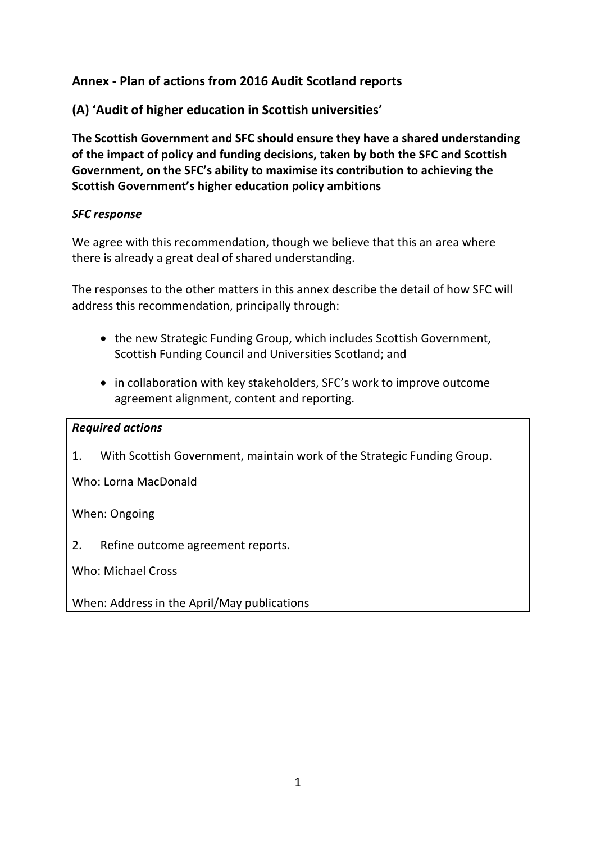## **Annex - Plan of actions from 2016 Audit Scotland reports**

**(A) 'Audit of higher education in Scottish universities'**

**The Scottish Government and SFC should ensure they have a shared understanding of the impact of policy and funding decisions, taken by both the SFC and Scottish Government, on the SFC's ability to maximise its contribution to achieving the Scottish Government's higher education policy ambitions**

### *SFC response*

We agree with this recommendation, though we believe that this an area where there is already a great deal of shared understanding.

The responses to the other matters in this annex describe the detail of how SFC will address this recommendation, principally through:

- the new Strategic Funding Group, which includes Scottish Government, Scottish Funding Council and Universities Scotland; and
- in collaboration with key stakeholders, SFC's work to improve outcome agreement alignment, content and reporting.

#### *Required actions*

<span id="page-0-1"></span>1. With Scottish Government, maintain work of the Strategic Funding Group.

Who: Lorna MacDonald

When: Ongoing

<span id="page-0-0"></span>2. Refine outcome agreement reports.

Who: Michael Cross

When: Address in the April/May publications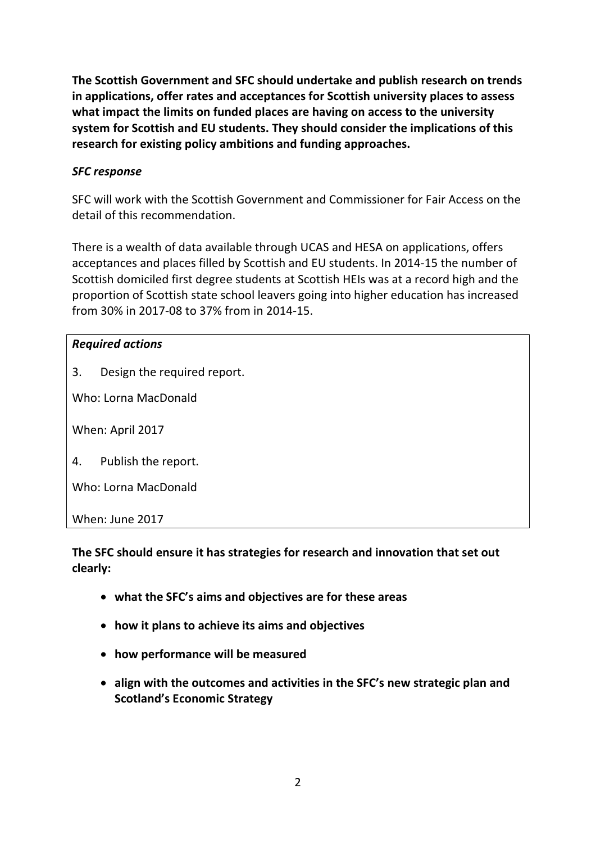**The Scottish Government and SFC should undertake and publish research on trends in applications, offer rates and acceptances for Scottish university places to assess what impact the limits on funded places are having on access to the university system for Scottish and EU students. They should consider the implications of this research for existing policy ambitions and funding approaches.**

## *SFC response*

SFC will work with the Scottish Government and Commissioner for Fair Access on the detail of this recommendation.

There is a wealth of data available through UCAS and HESA on applications, offers acceptances and places filled by Scottish and EU students. In 2014-15 the number of Scottish domiciled first degree students at Scottish HEIs was at a record high and the proportion of Scottish state school leavers going into higher education has increased from 30% in 2017-08 to 37% from in 2014-15.

## *Required actions*

3. Design the required report.

Who: Lorna MacDonald

When: April 2017

4. Publish the report.

Who: Lorna MacDonald

When: June 2017

**The SFC should ensure it has strategies for research and innovation that set out clearly:**

- **what the SFC's aims and objectives are for these areas**
- **how it plans to achieve its aims and objectives**
- **how performance will be measured**
- **align with the outcomes and activities in the SFC's new strategic plan and Scotland's Economic Strategy**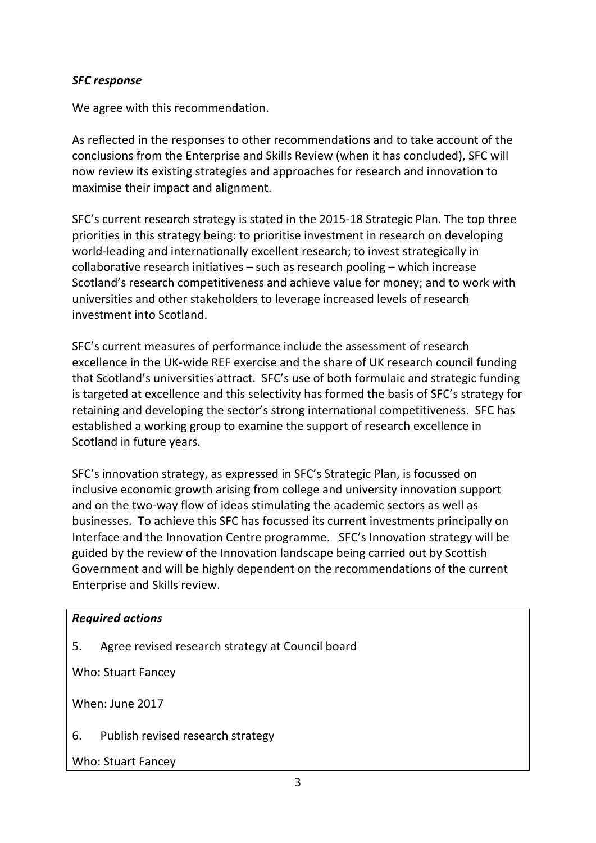#### *SFC response*

We agree with this recommendation.

As reflected in the responses to other recommendations and to take account of the conclusions from the Enterprise and Skills Review (when it has concluded), SFC will now review its existing strategies and approaches for research and innovation to maximise their impact and alignment.

SFC's current research strategy is stated in the 2015-18 Strategic Plan. The top three priorities in this strategy being: to prioritise investment in research on developing world-leading and internationally excellent research; to invest strategically in collaborative research initiatives – such as research pooling – which increase Scotland's research competitiveness and achieve value for money; and to work with universities and other stakeholders to leverage increased levels of research investment into Scotland.

SFC's current measures of performance include the assessment of research excellence in the UK-wide REF exercise and the share of UK research council funding that Scotland's universities attract. SFC's use of both formulaic and strategic funding is targeted at excellence and this selectivity has formed the basis of SFC's strategy for retaining and developing the sector's strong international competitiveness. SFC has established a working group to examine the support of research excellence in Scotland in future years.

SFC's innovation strategy, as expressed in SFC's Strategic Plan, is focussed on inclusive economic growth arising from college and university innovation support and on the two-way flow of ideas stimulating the academic sectors as well as businesses. To achieve this SFC has focussed its current investments principally on Interface and the Innovation Centre programme. SFC's Innovation strategy will be guided by the review of the Innovation landscape being carried out by Scottish Government and will be highly dependent on the recommendations of the current Enterprise and Skills review.

#### *Required actions*

5. Agree revised research strategy at Council board

Who: Stuart Fancey

When: June 2017

6. Publish revised research strategy

Who: Stuart Fancey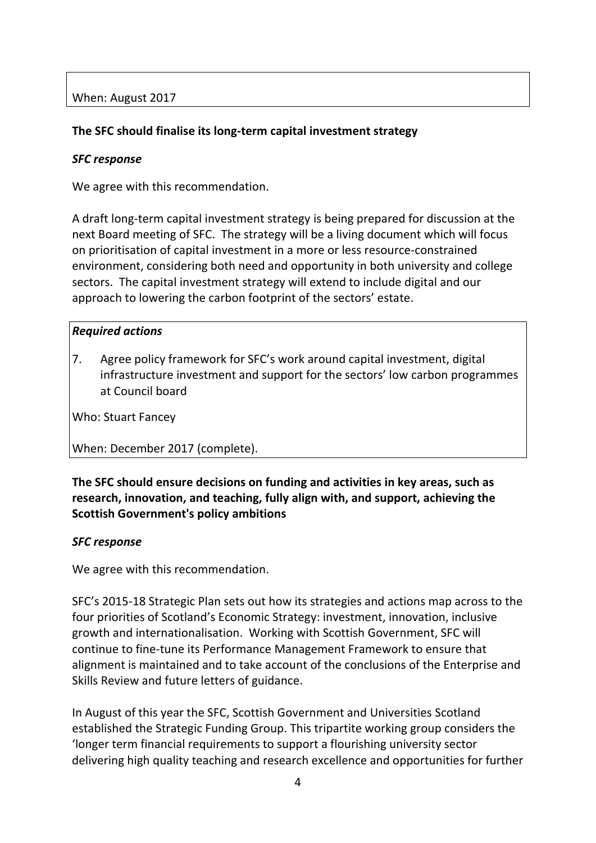## **The SFC should finalise its long-term capital investment strategy**

#### *SFC response*

We agree with this recommendation.

A draft long-term capital investment strategy is being prepared for discussion at the next Board meeting of SFC. The strategy will be a living document which will focus on prioritisation of capital investment in a more or less resource-constrained environment, considering both need and opportunity in both university and college sectors. The capital investment strategy will extend to include digital and our approach to lowering the carbon footprint of the sectors' estate.

#### *Required actions*

<span id="page-3-0"></span>7. Agree policy framework for SFC's work around capital investment, digital infrastructure investment and support for the sectors' low carbon programmes at Council board

Who: Stuart Fancey

When: December 2017 (complete).

**The SFC should ensure decisions on funding and activities in key areas, such as research, innovation, and teaching, fully align with, and support, achieving the Scottish Government's policy ambitions**

#### *SFC response*

We agree with this recommendation.

SFC's 2015-18 Strategic Plan sets out how its strategies and actions map across to the four priorities of Scotland's Economic Strategy: investment, innovation, inclusive growth and internationalisation. Working with Scottish Government, SFC will continue to fine-tune its Performance Management Framework to ensure that alignment is maintained and to take account of the conclusions of the Enterprise and Skills Review and future letters of guidance.

In August of this year the SFC, Scottish Government and Universities Scotland established the Strategic Funding Group. This tripartite working group considers the 'longer term financial requirements to support a flourishing university sector delivering high quality teaching and research excellence and opportunities for further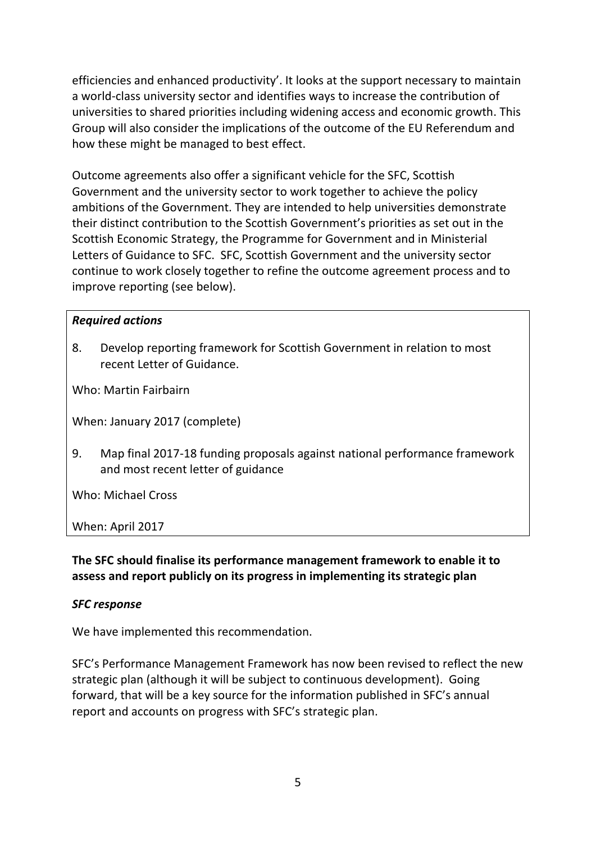efficiencies and enhanced productivity'. It looks at the support necessary to maintain a world-class university sector and identifies ways to increase the contribution of universities to shared priorities including widening access and economic growth. This Group will also consider the implications of the outcome of the EU Referendum and how these might be managed to best effect.

Outcome agreements also offer a significant vehicle for the SFC, Scottish Government and the university sector to work together to achieve the policy ambitions of the Government. They are intended to help universities demonstrate their distinct contribution to the Scottish Government's priorities as set out in the Scottish Economic Strategy, the Programme for Government and in Ministerial Letters of Guidance to SFC. SFC, Scottish Government and the university sector continue to work closely together to refine the outcome agreement process and to improve reporting (see below).

#### *Required actions*

8. Develop reporting framework for Scottish Government in relation to most recent Letter of Guidance.

Who: Martin Fairbairn

When: January 2017 (complete)

9. Map final 2017-18 funding proposals against national performance framework and most recent letter of guidance

Who: Michael Cross

When: April 2017

**The SFC should finalise its performance management framework to enable it to assess and report publicly on its progress in implementing its strategic plan**

#### *SFC response*

We have implemented this recommendation.

SFC's Performance Management Framework has now been revised to reflect the new strategic plan (although it will be subject to continuous development). Going forward, that will be a key source for the information published in SFC's annual report and accounts on progress with SFC's strategic plan.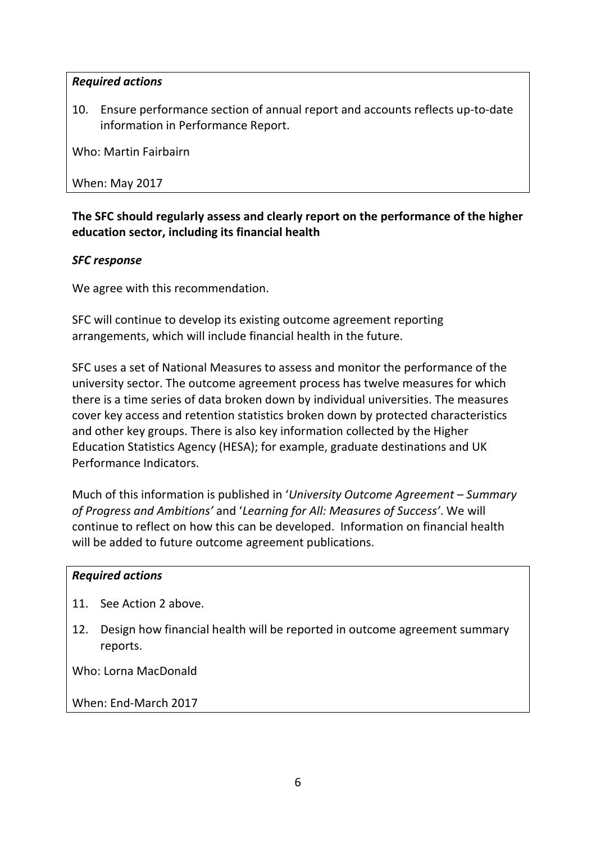10. Ensure performance section of annual report and accounts reflects up-to-date information in Performance Report.

Who: Martin Fairbairn

When: May 2017

## **The SFC should regularly assess and clearly report on the performance of the higher education sector, including its financial health**

## *SFC response*

We agree with this recommendation.

SFC will continue to develop its existing outcome agreement reporting arrangements, which will include financial health in the future.

SFC uses a set of National Measures to assess and monitor the performance of the university sector. The outcome agreement process has twelve measures for which there is a time series of data broken down by individual universities. The measures cover key access and retention statistics broken down by protected characteristics and other key groups. There is also key information collected by the Higher Education Statistics Agency (HESA); for example, graduate destinations and UK Performance Indicators.

Much of this information is published in '*University Outcome Agreement – Summary of Progress and Ambitions'* and '*Learning for All: Measures of Success'*. We will continue to reflect on how this can be developed. Information on financial health will be added to future outcome agreement publications.

#### *Required actions*

- 11. See Action [2 above.](#page-0-0)
- 12. Design how financial health will be reported in outcome agreement summary reports.

Who: Lorna MacDonald

When: End-March 2017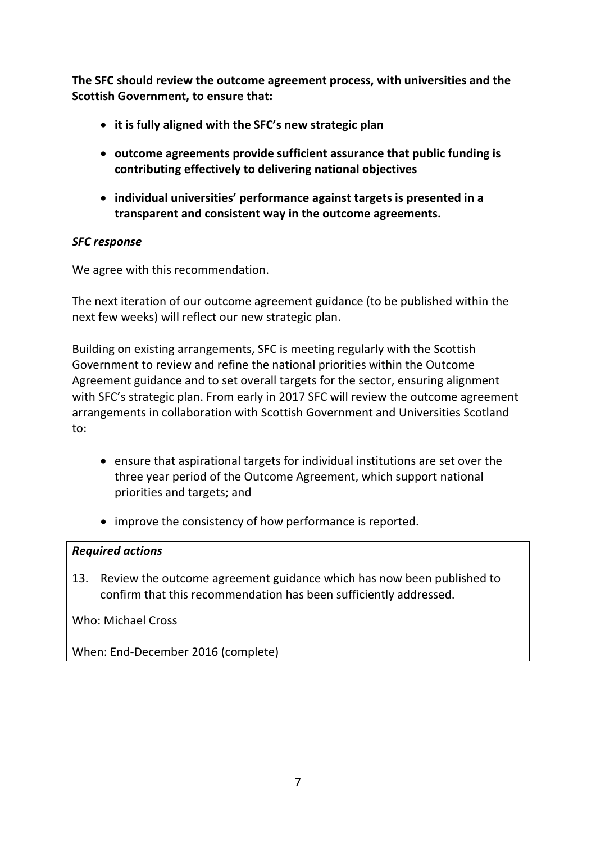**The SFC should review the outcome agreement process, with universities and the Scottish Government, to ensure that:**

- **it is fully aligned with the SFC's new strategic plan**
- **outcome agreements provide sufficient assurance that public funding is contributing effectively to delivering national objectives**
- **individual universities' performance against targets is presented in a transparent and consistent way in the outcome agreements.**

#### *SFC response*

We agree with this recommendation.

The next iteration of our outcome agreement guidance (to be published within the next few weeks) will reflect our new strategic plan.

Building on existing arrangements, SFC is meeting regularly with the Scottish Government to review and refine the national priorities within the Outcome Agreement guidance and to set overall targets for the sector, ensuring alignment with SFC's strategic plan. From early in 2017 SFC will review the outcome agreement arrangements in collaboration with Scottish Government and Universities Scotland to:

- ensure that aspirational targets for individual institutions are set over the three year period of the Outcome Agreement, which support national priorities and targets; and
- improve the consistency of how performance is reported.

#### *Required actions*

13. Review the outcome agreement guidance which has now been published to confirm that this recommendation has been sufficiently addressed.

Who: Michael Cross

When: End-December 2016 (complete)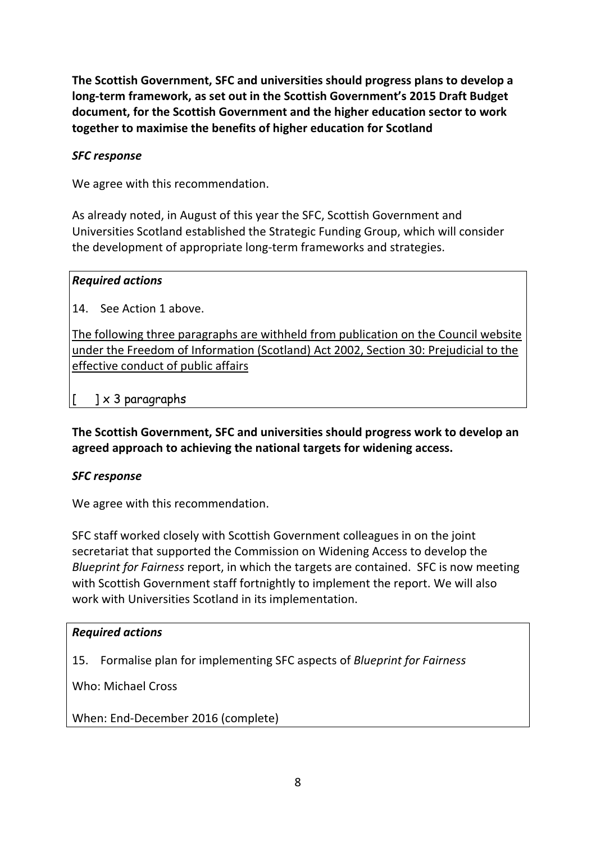**The Scottish Government, SFC and universities should progress plans to develop a long-term framework, as set out in the Scottish Government's 2015 Draft Budget document, for the Scottish Government and the higher education sector to work together to maximise the benefits of higher education for Scotland**

#### *SFC response*

We agree with this recommendation.

As already noted, in August of this year the SFC, Scottish Government and Universities Scotland established the Strategic Funding Group, which will consider the development of appropriate long-term frameworks and strategies.

#### *Required actions*

14. See Action [1 above.](#page-0-1)

The following three paragraphs are withheld from publication on the Council website under the Freedom of Information (Scotland) Act 2002, Section 30: Prejudicial to the effective conduct of public affairs

 $\lceil$   $\rceil \times 3$  paragraphs

**The Scottish Government, SFC and universities should progress work to develop an agreed approach to achieving the national targets for widening access.**

#### *SFC response*

We agree with this recommendation.

SFC staff worked closely with Scottish Government colleagues in on the joint secretariat that supported the Commission on Widening Access to develop the *Blueprint for Fairness* report, in which the targets are contained. SFC is now meeting with Scottish Government staff fortnightly to implement the report. We will also work with Universities Scotland in its implementation.

#### *Required actions*

15. Formalise plan for implementing SFC aspects of *Blueprint for Fairness*

Who: Michael Cross

When: End-December 2016 (complete)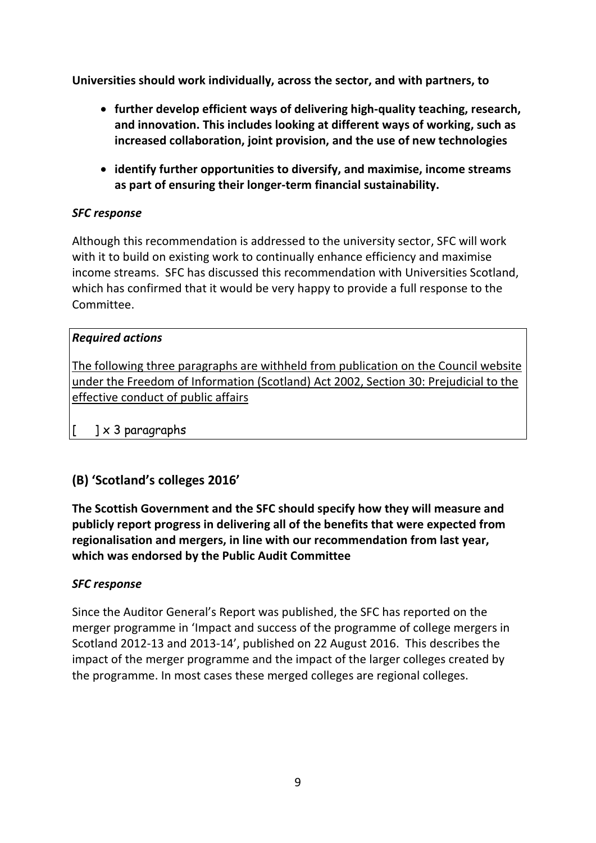**Universities should work individually, across the sector, and with partners, to**

- **further develop efficient ways of delivering high-quality teaching, research, and innovation. This includes looking at different ways of working, such as increased collaboration, joint provision, and the use of new technologies**
- **identify further opportunities to diversify, and maximise, income streams as part of ensuring their longer-term financial sustainability.**

## *SFC response*

Although this recommendation is addressed to the university sector, SFC will work with it to build on existing work to continually enhance efficiency and maximise income streams. SFC has discussed this recommendation with Universities Scotland, which has confirmed that it would be very happy to provide a full response to the Committee.

## *Required actions*

The following three paragraphs are withheld from publication on the Council website under the Freedom of Information (Scotland) Act 2002, Section 30: Prejudicial to the effective conduct of public affairs

 $\begin{bmatrix} 1 & x & 3 \end{bmatrix}$  paragraphs

## **(B) 'Scotland's colleges 2016'**

**The Scottish Government and the SFC should specify how they will measure and publicly report progress in delivering all of the benefits that were expected from regionalisation and mergers, in line with our recommendation from last year, which was endorsed by the Public Audit Committee**

#### *SFC response*

Since the Auditor General's Report was published, the SFC has reported on the merger programme in 'Impact and success of the programme of college mergers in Scotland 2012-13 and 2013-14', published on 22 August 2016. This describes the impact of the merger programme and the impact of the larger colleges created by the programme. In most cases these merged colleges are regional colleges.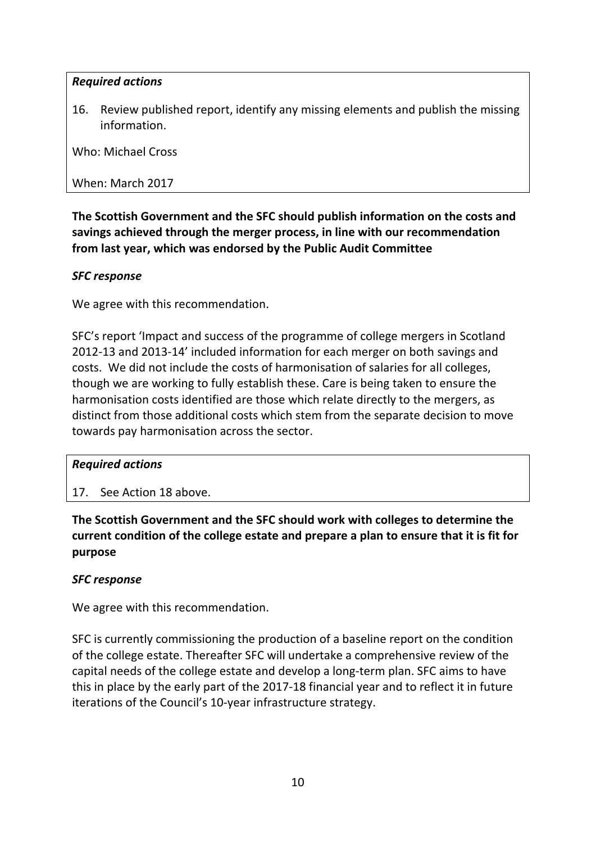<span id="page-9-0"></span>16. Review published report, identify any missing elements and publish the missing information.

Who: Michael Cross

When: March 2017

**The Scottish Government and the SFC should publish information on the costs and savings achieved through the merger process, in line with our recommendation from last year, which was endorsed by the Public Audit Committee**

#### *SFC response*

We agree with this recommendation.

SFC's report 'Impact and success of the programme of college mergers in Scotland 2012-13 and 2013-14' included information for each merger on both savings and costs. We did not include the costs of harmonisation of salaries for all colleges, though we are working to fully establish these. Care is being taken to ensure the harmonisation costs identified are those which relate directly to the mergers, as distinct from those additional costs which stem from the separate decision to move towards pay harmonisation across the sector.

#### *Required actions*

17. See Action [18 above.](#page-9-0)

**The Scottish Government and the SFC should work with colleges to determine the current condition of the college estate and prepare a plan to ensure that it is fit for purpose**

#### *SFC response*

We agree with this recommendation.

SFC is currently commissioning the production of a baseline report on the condition of the college estate. Thereafter SFC will undertake a comprehensive review of the capital needs of the college estate and develop a long-term plan. SFC aims to have this in place by the early part of the 2017-18 financial year and to reflect it in future iterations of the Council's 10-year infrastructure strategy.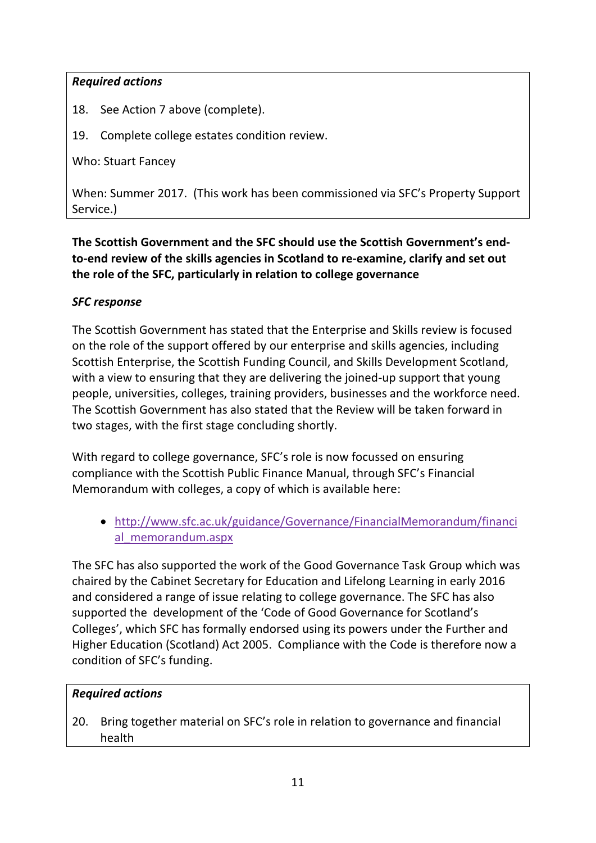18. See Action [7 above](#page-3-0) (complete).

19. Complete college estates condition review.

Who: Stuart Fancey

When: Summer 2017. (This work has been commissioned via SFC's Property Support Service.)

**The Scottish Government and the SFC should use the Scottish Government's endto-end review of the skills agencies in Scotland to re-examine, clarify and set out the role of the SFC, particularly in relation to college governance**

#### *SFC response*

The Scottish Government has stated that the Enterprise and Skills review is focused on the role of the support offered by our enterprise and skills agencies, including Scottish Enterprise, the Scottish Funding Council, and Skills Development Scotland, with a view to ensuring that they are delivering the joined-up support that young people, universities, colleges, training providers, businesses and the workforce need. The Scottish Government has also stated that the Review will be taken forward in two stages, with the first stage concluding shortly.

With regard to college governance, SFC's role is now focussed on ensuring compliance with the Scottish Public Finance Manual, through SFC's Financial Memorandum with colleges, a copy of which is available here:

• [http://www.sfc.ac.uk/guidance/Governance/FinancialMemorandum/financi](http://www.sfc.ac.uk/guidance/Governance/FinancialMemorandum/financial_memorandum.aspx) [al\\_memorandum.aspx](http://www.sfc.ac.uk/guidance/Governance/FinancialMemorandum/financial_memorandum.aspx) 

The SFC has also supported the work of the Good Governance Task Group which was chaired by the Cabinet Secretary for Education and Lifelong Learning in early 2016 and considered a range of issue relating to college governance. The SFC has also supported the development of the 'Code of Good Governance for Scotland's Colleges', which SFC has formally endorsed using its powers under the Further and Higher Education (Scotland) Act 2005. Compliance with the Code is therefore now a condition of SFC's funding.

## *Required actions*

20. Bring together material on SFC's role in relation to governance and financial health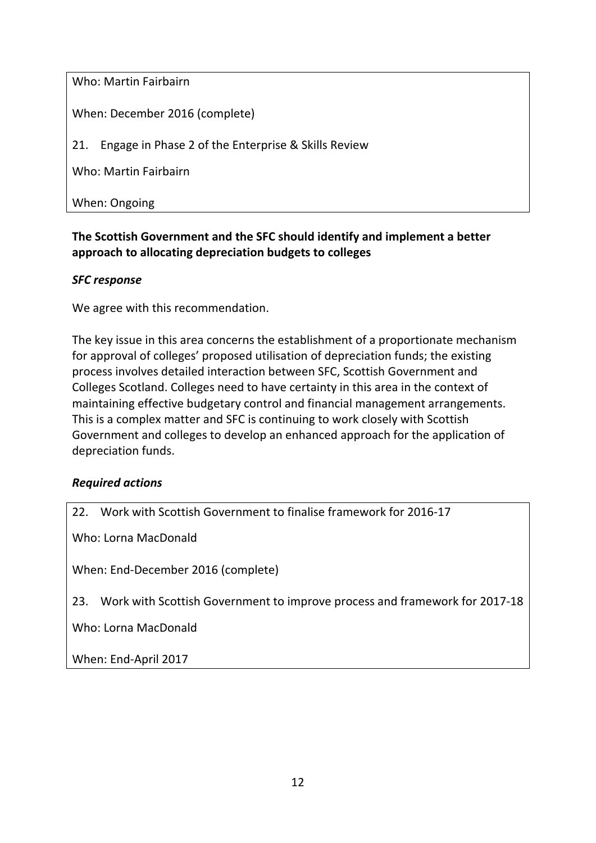Who: Martin Fairbairn

When: December 2016 (complete)

21. Engage in Phase 2 of the Enterprise & Skills Review

Who: Martin Fairbairn

When: Ongoing

## **The Scottish Government and the SFC should identify and implement a better approach to allocating depreciation budgets to colleges**

#### *SFC response*

We agree with this recommendation.

The key issue in this area concerns the establishment of a proportionate mechanism for approval of colleges' proposed utilisation of depreciation funds; the existing process involves detailed interaction between SFC, Scottish Government and Colleges Scotland. Colleges need to have certainty in this area in the context of maintaining effective budgetary control and financial management arrangements. This is a complex matter and SFC is continuing to work closely with Scottish Government and colleges to develop an enhanced approach for the application of depreciation funds.

#### *Required actions*

22. Work with Scottish Government to finalise framework for 2016-17

Who: Lorna MacDonald

When: End-December 2016 (complete)

23. Work with Scottish Government to improve process and framework for 2017-18

Who: Lorna MacDonald

When: End-April 2017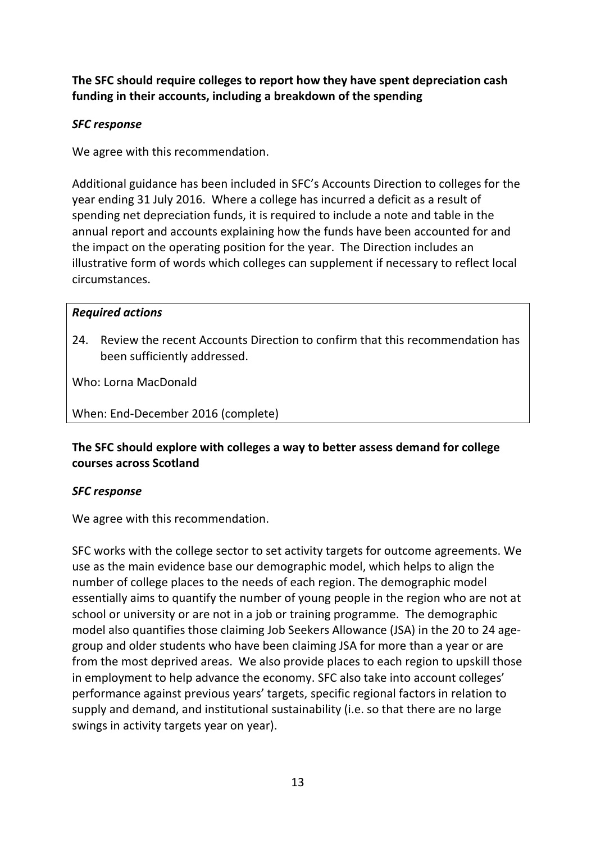**The SFC should require colleges to report how they have spent depreciation cash funding in their accounts, including a breakdown of the spending**

#### *SFC response*

We agree with this recommendation.

Additional guidance has been included in SFC's Accounts Direction to colleges for the year ending 31 July 2016. Where a college has incurred a deficit as a result of spending net depreciation funds, it is required to include a note and table in the annual report and accounts explaining how the funds have been accounted for and the impact on the operating position for the year. The Direction includes an illustrative form of words which colleges can supplement if necessary to reflect local circumstances.

#### *Required actions*

24. Review the recent Accounts Direction to confirm that this recommendation has been sufficiently addressed.

Who: Lorna MacDonald

When: End-December 2016 (complete)

## **The SFC should explore with colleges a way to better assess demand for college courses across Scotland**

#### *SFC response*

We agree with this recommendation.

SFC works with the college sector to set activity targets for outcome agreements. We use as the main evidence base our demographic model, which helps to align the number of college places to the needs of each region. The demographic model essentially aims to quantify the number of young people in the region who are not at school or university or are not in a job or training programme. The demographic model also quantifies those claiming Job Seekers Allowance (JSA) in the 20 to 24 agegroup and older students who have been claiming JSA for more than a year or are from the most deprived areas. We also provide places to each region to upskill those in employment to help advance the economy. SFC also take into account colleges' performance against previous years' targets, specific regional factors in relation to supply and demand, and institutional sustainability (i.e. so that there are no large swings in activity targets year on year).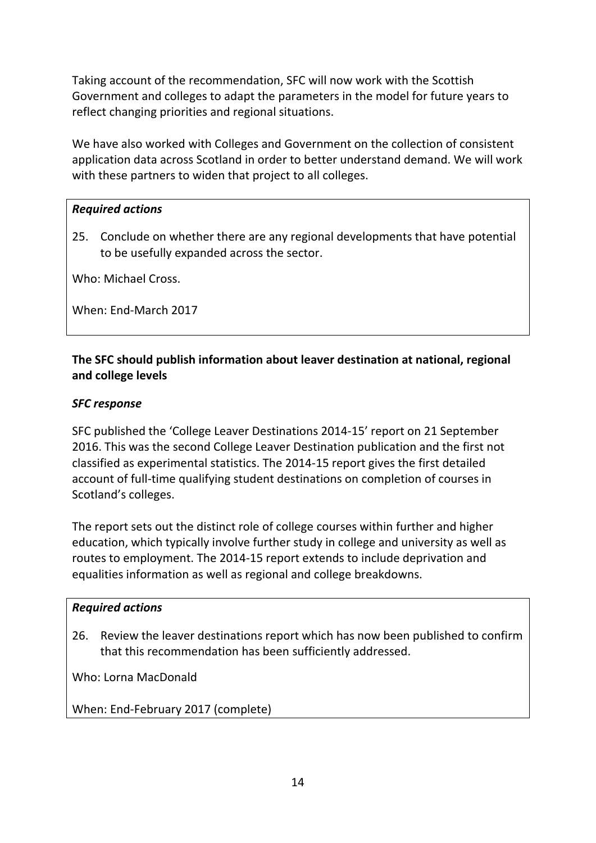Taking account of the recommendation, SFC will now work with the Scottish Government and colleges to adapt the parameters in the model for future years to reflect changing priorities and regional situations.

We have also worked with Colleges and Government on the collection of consistent application data across Scotland in order to better understand demand. We will work with these partners to widen that project to all colleges.

#### *Required actions*

25. Conclude on whether there are any regional developments that have potential to be usefully expanded across the sector.

Who: Michael Cross.

When: End-March 2017

## **The SFC should publish information about leaver destination at national, regional and college levels**

#### *SFC response*

SFC published the 'College Leaver Destinations 2014-15' report on 21 September 2016. This was the second College Leaver Destination publication and the first not classified as experimental statistics. The 2014-15 report gives the first detailed account of full-time qualifying student destinations on completion of courses in Scotland's colleges.

The report sets out the distinct role of college courses within further and higher education, which typically involve further study in college and university as well as routes to employment. The 2014-15 report extends to include deprivation and equalities information as well as regional and college breakdowns.

#### *Required actions*

26. Review the leaver destinations report which has now been published to confirm that this recommendation has been sufficiently addressed.

Who: Lorna MacDonald

When: End-February 2017 (complete)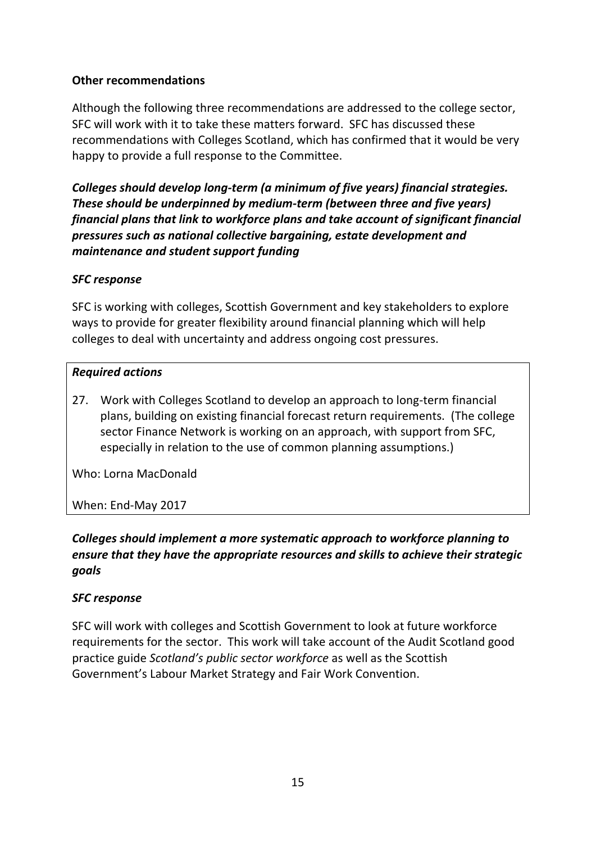## **Other recommendations**

Although the following three recommendations are addressed to the college sector, SFC will work with it to take these matters forward. SFC has discussed these recommendations with Colleges Scotland, which has confirmed that it would be very happy to provide a full response to the Committee.

*Colleges should develop long-term (a minimum of five years) financial strategies. These should be underpinned by medium-term (between three and five years) financial plans that link to workforce plans and take account of significant financial pressures such as national collective bargaining, estate development and maintenance and student support funding*

## *SFC response*

SFC is working with colleges, Scottish Government and key stakeholders to explore ways to provide for greater flexibility around financial planning which will help colleges to deal with uncertainty and address ongoing cost pressures.

## *Required actions*

27. Work with Colleges Scotland to develop an approach to long-term financial plans, building on existing financial forecast return requirements. (The college sector Finance Network is working on an approach, with support from SFC, especially in relation to the use of common planning assumptions.)

Who: Lorna MacDonald

#### When: End-May 2017

## *Colleges should implement a more systematic approach to workforce planning to ensure that they have the appropriate resources and skills to achieve their strategic goals*

#### *SFC response*

SFC will work with colleges and Scottish Government to look at future workforce requirements for the sector. This work will take account of the Audit Scotland good practice guide *Scotland's public sector workforce* as well as the Scottish Government's Labour Market Strategy and Fair Work Convention.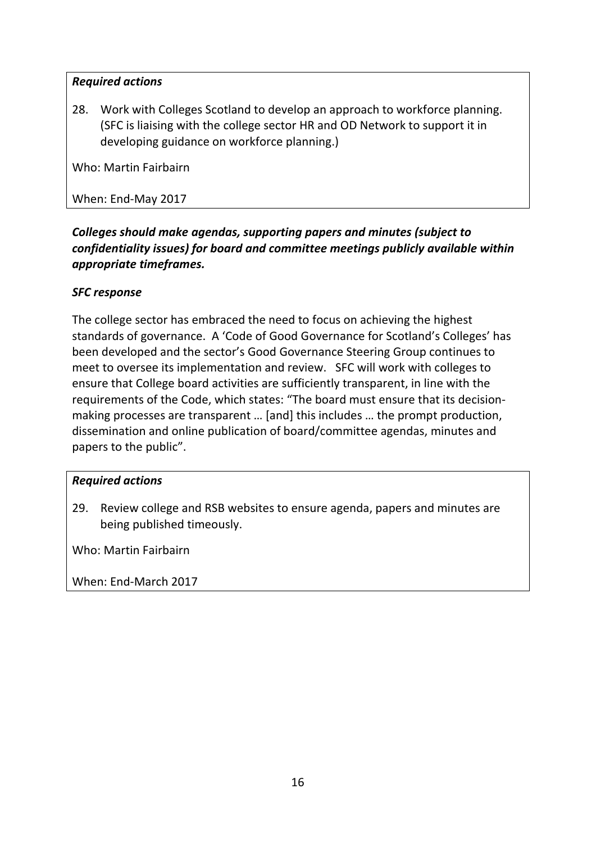28. Work with Colleges Scotland to develop an approach to workforce planning. (SFC is liaising with the college sector HR and OD Network to support it in developing guidance on workforce planning.)

Who: Martin Fairbairn

When: End-May 2017

## *Colleges should make agendas, supporting papers and minutes (subject to confidentiality issues) for board and committee meetings publicly available within appropriate timeframes.*

## *SFC response*

The college sector has embraced the need to focus on achieving the highest standards of governance. A 'Code of Good Governance for Scotland's Colleges' has been developed and the sector's Good Governance Steering Group continues to meet to oversee its implementation and review. SFC will work with colleges to ensure that College board activities are sufficiently transparent, in line with the requirements of the Code, which states: "The board must ensure that its decisionmaking processes are transparent … [and] this includes … the prompt production, dissemination and online publication of board/committee agendas, minutes and papers to the public".

#### *Required actions*

29. Review college and RSB websites to ensure agenda, papers and minutes are being published timeously.

Who: Martin Fairbairn

When: End-March 2017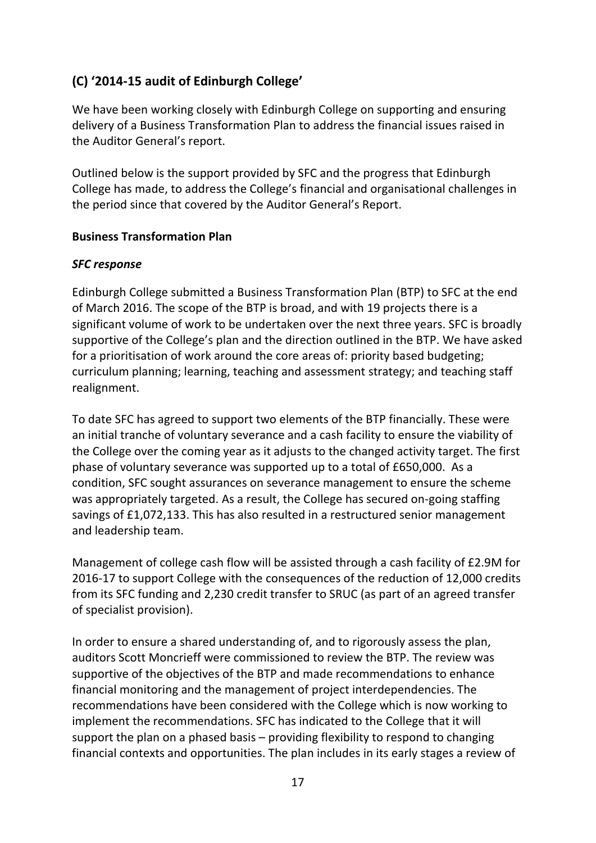# **(C) '2014-15 audit of Edinburgh College'**

We have been working closely with Edinburgh College on supporting and ensuring delivery of a Business Transformation Plan to address the financial issues raised in the Auditor General's report.

Outlined below is the support provided by SFC and the progress that Edinburgh College has made, to address the College's financial and organisational challenges in the period since that covered by the Auditor General's Report.

#### **Business Transformation Plan**

#### *SFC response*

Edinburgh College submitted a Business Transformation Plan (BTP) to SFC at the end of March 2016. The scope of the BTP is broad, and with 19 projects there is a significant volume of work to be undertaken over the next three years. SFC is broadly supportive of the College's plan and the direction outlined in the BTP. We have asked for a prioritisation of work around the core areas of: priority based budgeting; curriculum planning; learning, teaching and assessment strategy; and teaching staff realignment.

To date SFC has agreed to support two elements of the BTP financially. These were an initial tranche of voluntary severance and a cash facility to ensure the viability of the College over the coming year as it adjusts to the changed activity target. The first phase of voluntary severance was supported up to a total of £650,000. As a condition, SFC sought assurances on severance management to ensure the scheme was appropriately targeted. As a result, the College has secured on-going staffing savings of £1,072,133. This has also resulted in a restructured senior management and leadership team.

Management of college cash flow will be assisted through a cash facility of £2.9M for 2016-17 to support College with the consequences of the reduction of 12,000 credits from its SFC funding and 2,230 credit transfer to SRUC (as part of an agreed transfer of specialist provision).

In order to ensure a shared understanding of, and to rigorously assess the plan, auditors Scott Moncrieff were commissioned to review the BTP. The review was supportive of the objectives of the BTP and made recommendations to enhance financial monitoring and the management of project interdependencies. The recommendations have been considered with the College which is now working to implement the recommendations. SFC has indicated to the College that it will support the plan on a phased basis – providing flexibility to respond to changing financial contexts and opportunities. The plan includes in its early stages a review of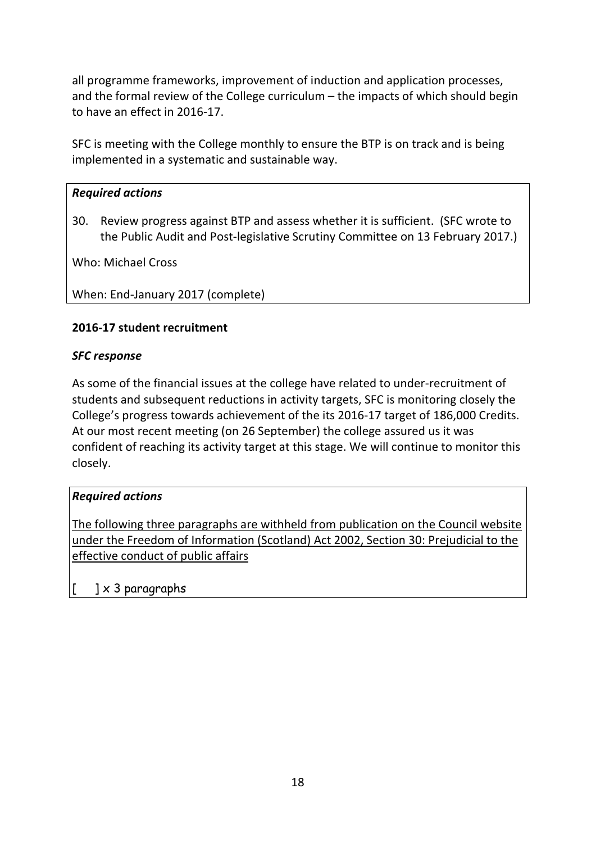all programme frameworks, improvement of induction and application processes, and the formal review of the College curriculum – the impacts of which should begin to have an effect in 2016-17.

SFC is meeting with the College monthly to ensure the BTP is on track and is being implemented in a systematic and sustainable way.

## *Required actions*

30. Review progress against BTP and assess whether it is sufficient. (SFC wrote to the Public Audit and Post-legislative Scrutiny Committee on 13 February 2017.)

Who: Michael Cross

When: End-January 2017 (complete)

## **2016-17 student recruitment**

#### *SFC response*

As some of the financial issues at the college have related to under-recruitment of students and subsequent reductions in activity targets, SFC is monitoring closely the College's progress towards achievement of the its 2016-17 target of 186,000 Credits. At our most recent meeting (on 26 September) the college assured us it was confident of reaching its activity target at this stage. We will continue to monitor this closely.

#### *Required actions*

The following three paragraphs are withheld from publication on the Council website under the Freedom of Information (Scotland) Act 2002, Section 30: Prejudicial to the effective conduct of public affairs

 $\left] \times 3 \right.$  paragraphs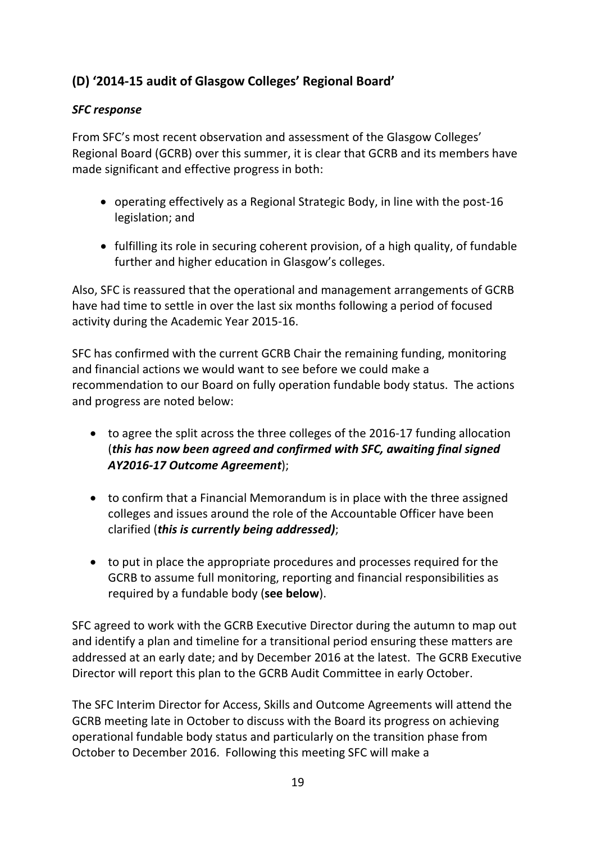# **(D) '2014-15 audit of Glasgow Colleges' Regional Board'**

## *SFC response*

From SFC's most recent observation and assessment of the Glasgow Colleges' Regional Board (GCRB) over this summer, it is clear that GCRB and its members have made significant and effective progress in both:

- operating effectively as a Regional Strategic Body, in line with the post-16 legislation; and
- fulfilling its role in securing coherent provision, of a high quality, of fundable further and higher education in Glasgow's colleges.

Also, SFC is reassured that the operational and management arrangements of GCRB have had time to settle in over the last six months following a period of focused activity during the Academic Year 2015-16.

SFC has confirmed with the current GCRB Chair the remaining funding, monitoring and financial actions we would want to see before we could make a recommendation to our Board on fully operation fundable body status. The actions and progress are noted below:

- to agree the split across the three colleges of the 2016-17 funding allocation (*this has now been agreed and confirmed with SFC, awaiting final signed AY2016-17 Outcome Agreement*);
- to confirm that a Financial Memorandum is in place with the three assigned colleges and issues around the role of the Accountable Officer have been clarified (*this is currently being addressed)*;
- to put in place the appropriate procedures and processes required for the GCRB to assume full monitoring, reporting and financial responsibilities as required by a fundable body (**see below**).

SFC agreed to work with the GCRB Executive Director during the autumn to map out and identify a plan and timeline for a transitional period ensuring these matters are addressed at an early date; and by December 2016 at the latest. The GCRB Executive Director will report this plan to the GCRB Audit Committee in early October.

The SFC Interim Director for Access, Skills and Outcome Agreements will attend the GCRB meeting late in October to discuss with the Board its progress on achieving operational fundable body status and particularly on the transition phase from October to December 2016. Following this meeting SFC will make a